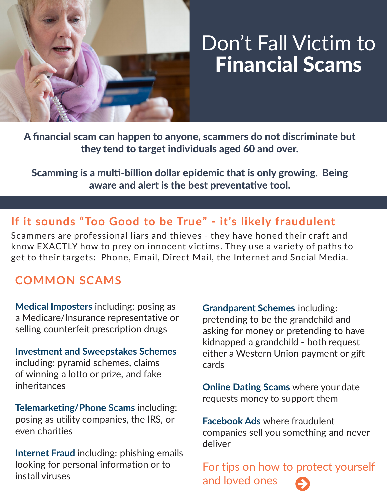

# Don't Fall Victim to **Financial Scams**

**A financial scam can happen to anyone, scammers do not discriminate but they tend to target individuals aged 60 and over.**

**Scamming is a mul�-billion dollar epidemic that is only growing. Being** aware and alert is the best preventative tool.

### **If it sounds "Too Good to be True" - it's likely fraudulent**

Scammers are professional liars and thieves - they have honed their craft and know EXACTLY how to prey on innocent victims. They use a variety of paths to get to their targets: Phone, Email, Direct Mail, the Internet and Social Media.

### **COMMON SCAMS**

**Medical Imposters** including: posing as a Medicare/Insurance representative or selling counterfeit prescription drugs

**Investment and Sweepstakes Schemes** including: pyramid schemes, claims of winning a lotto or prize, and fake inheritances

**Telemarketing/Phone Scams** including: posing as utility companies, the IRS, or even charities

**Internet Fraud** including: phishing emails looking for personal information or to install viruses

**Grandparent Schemes** including: pretending to be the grandchild and asking for money or pretending to have kidnapped a grandchild - both request either a Western Union payment or gift cards

**Online Dating Scams** where your date requests money to support them

**Facebook Ads** where fraudulent companies sell you something and never deliver

For tips on how to protect yourself and loved ones